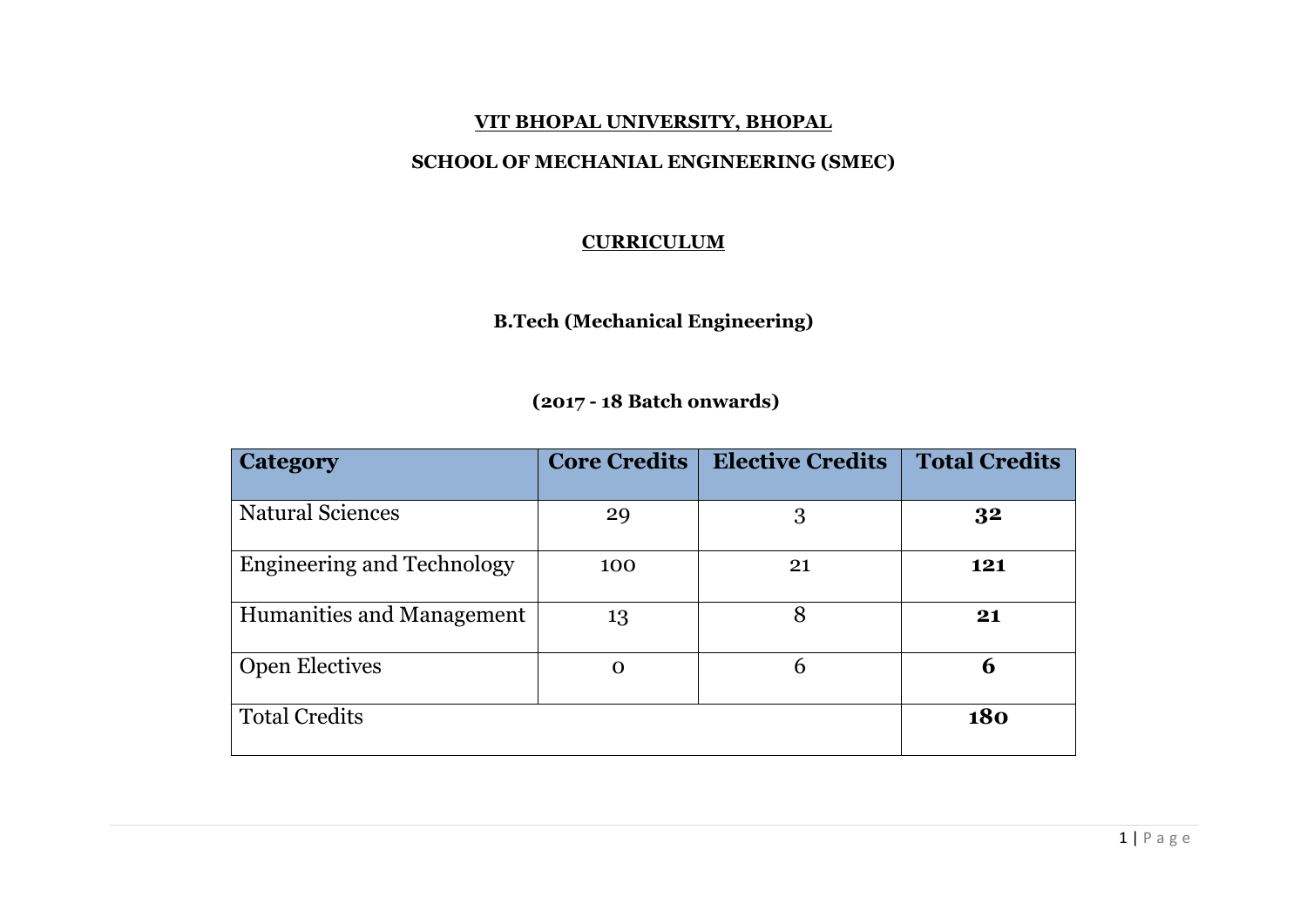#### **VIT BHOPAL UNIVERSITY, BHOPAL**

## **SCHOOL OF MECHANIAL ENGINEERING (SMEC)**

## **CURRICULUM**

**B.Tech (Mechanical Engineering)**

# **(2017 - 18 Batch onwards)**

| <b>Category</b>                   | <b>Core Credits</b> | <b>Elective Credits</b> | <b>Total Credits</b> |
|-----------------------------------|---------------------|-------------------------|----------------------|
| <b>Natural Sciences</b>           | 29                  | 3                       | 3 <sup>2</sup>       |
| <b>Engineering and Technology</b> | 100                 | 21                      | 121                  |
| Humanities and Management         | 13                  | 8                       | 21                   |
| <b>Open Electives</b>             | $\mathbf 0$         | 6                       | 6                    |
| <b>Total Credits</b>              |                     |                         | 180                  |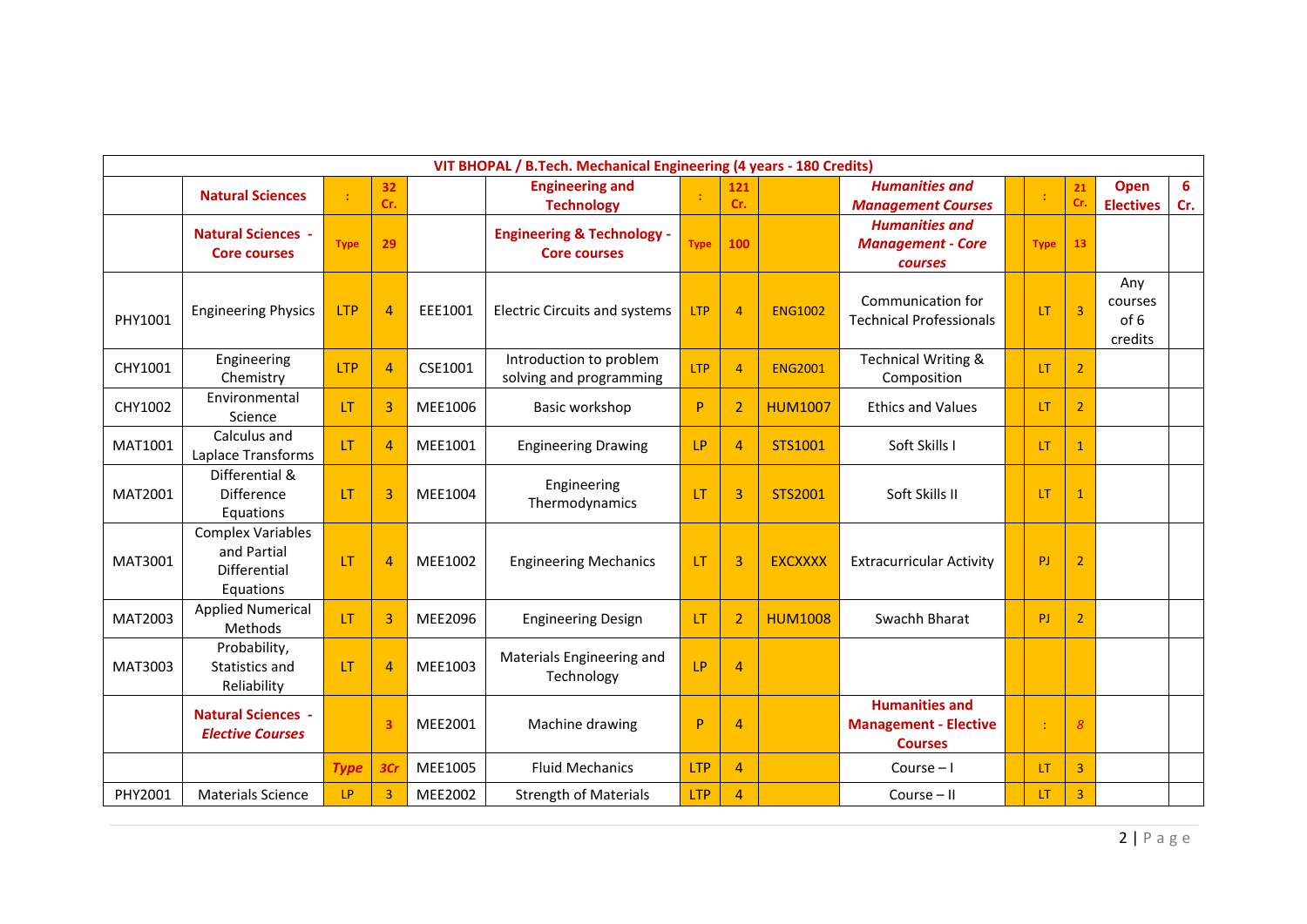| <b>Natural Sciences</b>                        |                                                                 | VIT BHOPAL / B.Tech. Mechanical Engineering (4 years - 180 Credits) |                                       |            |                |                          |                                 |             |    |                         |                  |     |  |  |  |
|------------------------------------------------|-----------------------------------------------------------------|---------------------------------------------------------------------|---------------------------------------|------------|----------------|--------------------------|---------------------------------|-------------|----|-------------------------|------------------|-----|--|--|--|
|                                                | 32<br>Cr.                                                       |                                                                     | <b>Engineering and</b>                |            | 121            |                          | <b>Humanities and</b>           |             |    | 21                      | Open             | 6   |  |  |  |
|                                                |                                                                 |                                                                     | <b>Technology</b>                     |            | Cr.            |                          | <b>Management Courses</b>       |             |    | Cr.                     | <b>Electives</b> | Cr. |  |  |  |
| <b>Natural Sciences -</b>                      |                                                                 |                                                                     | <b>Engineering &amp; Technology -</b> |            |                |                          | <b>Humanities and</b>           |             |    |                         |                  |     |  |  |  |
|                                                | 29<br><b>Type</b><br><b>Core courses</b><br><b>Core courses</b> |                                                                     | <b>Type</b>                           | 100        |                | <b>Management - Core</b> |                                 | <b>Type</b> | 13 |                         |                  |     |  |  |  |
|                                                |                                                                 |                                                                     |                                       |            |                |                          | courses                         |             |    |                         |                  |     |  |  |  |
|                                                |                                                                 |                                                                     |                                       |            |                |                          |                                 |             |    |                         | Any              |     |  |  |  |
| <b>LTP</b><br><b>Engineering Physics</b>       | $\overline{4}$                                                  | EEE1001                                                             | <b>Electric Circuits and systems</b>  | <b>LTP</b> | $\overline{4}$ | <b>ENG1002</b>           | Communication for               |             | LT | $\overline{\mathbf{3}}$ | courses          |     |  |  |  |
| PHY1001                                        |                                                                 |                                                                     |                                       |            |                |                          | <b>Technical Professionals</b>  |             |    |                         | of 6             |     |  |  |  |
|                                                |                                                                 |                                                                     |                                       |            |                |                          |                                 |             |    |                         | credits          |     |  |  |  |
| Engineering<br><b>ITP</b><br>CHY1001           | $\overline{4}$                                                  | CSE1001                                                             | Introduction to problem               | <b>LTP</b> | $\overline{4}$ | <b>ENG2001</b>           | <b>Technical Writing &amp;</b>  |             | LT | $\overline{2}$          |                  |     |  |  |  |
| Chemistry                                      |                                                                 |                                                                     | solving and programming               |            |                |                          | Composition                     |             |    |                         |                  |     |  |  |  |
| Environmental<br>CHY1002<br>LT                 | $\overline{3}$                                                  | MEE1006                                                             | Basic workshop                        | P          | $\overline{2}$ | <b>HUM1007</b>           | <b>Ethics and Values</b>        |             | LT | $\overline{2}$          |                  |     |  |  |  |
| Science<br>Calculus and                        |                                                                 |                                                                     |                                       |            |                |                          |                                 |             |    |                         |                  |     |  |  |  |
| MAT1001<br>LT<br>Laplace Transforms            | $\overline{4}$                                                  | MEE1001                                                             | LP<br><b>Engineering Drawing</b>      |            | $\overline{4}$ | STS1001                  | Soft Skills I                   |             | LT | $\mathbf{1}$            |                  |     |  |  |  |
| Differential &                                 |                                                                 |                                                                     |                                       |            |                |                          |                                 |             |    |                         |                  |     |  |  |  |
| Difference<br>MAT2001<br>LT                    | 3                                                               | MEE1004                                                             | Engineering                           | <b>LT</b>  | 3              | STS2001                  | Soft Skills II                  |             | LT | $\mathbf{1}$            |                  |     |  |  |  |
| Equations                                      |                                                                 |                                                                     | Thermodynamics                        |            |                |                          |                                 |             |    |                         |                  |     |  |  |  |
| <b>Complex Variables</b>                       |                                                                 |                                                                     |                                       |            |                |                          |                                 |             |    |                         |                  |     |  |  |  |
| and Partial<br>MAT3001<br>LT                   | $\overline{4}$                                                  | MEE1002                                                             | <b>Engineering Mechanics</b>          | <b>LT</b>  | 3              | <b>EXCXXXX</b>           | <b>Extracurricular Activity</b> |             | PJ | $\overline{2}$          |                  |     |  |  |  |
| <b>Differential</b>                            |                                                                 |                                                                     |                                       |            |                |                          |                                 |             |    |                         |                  |     |  |  |  |
| Equations                                      |                                                                 |                                                                     |                                       |            |                |                          |                                 |             |    |                         |                  |     |  |  |  |
| <b>Applied Numerical</b><br>MAT2003<br>LT      | $\overline{3}$                                                  | MEE2096                                                             | <b>Engineering Design</b>             | LT.        | $\overline{2}$ | <b>HUM1008</b>           | Swachh Bharat                   |             | PI | $\overline{2}$          |                  |     |  |  |  |
| Methods                                        |                                                                 |                                                                     |                                       |            |                |                          |                                 |             |    |                         |                  |     |  |  |  |
| Probability,                                   |                                                                 |                                                                     | Materials Engineering and             | LP         |                |                          |                                 |             |    |                         |                  |     |  |  |  |
| MAT3003<br>Statistics and<br>LT<br>Reliability | $\overline{4}$                                                  | MEE1003                                                             | Technology                            |            | $\overline{a}$ |                          |                                 |             |    |                         |                  |     |  |  |  |
|                                                |                                                                 |                                                                     |                                       |            |                |                          | <b>Humanities and</b>           |             |    |                         |                  |     |  |  |  |
| <b>Natural Sciences -</b>                      | 3                                                               | MEE2001                                                             | Machine drawing                       | P          | $\overline{4}$ |                          | <b>Management - Elective</b>    |             |    | 8                       |                  |     |  |  |  |
| <b>Elective Courses</b>                        |                                                                 |                                                                     |                                       |            |                |                          | <b>Courses</b>                  |             |    |                         |                  |     |  |  |  |
| <b>Type</b>                                    | 3Cr                                                             | MEE1005                                                             | <b>Fluid Mechanics</b>                | <b>LTP</b> | $\overline{4}$ |                          | Course $-1$                     |             | LT | 3                       |                  |     |  |  |  |
| LP.<br>PHY2001<br><b>Materials Science</b>     | $\overline{3}$                                                  | MEE2002                                                             | <b>Strength of Materials</b>          | <b>LTP</b> | $\overline{4}$ |                          | Course $-$ II                   |             | LT | 3                       |                  |     |  |  |  |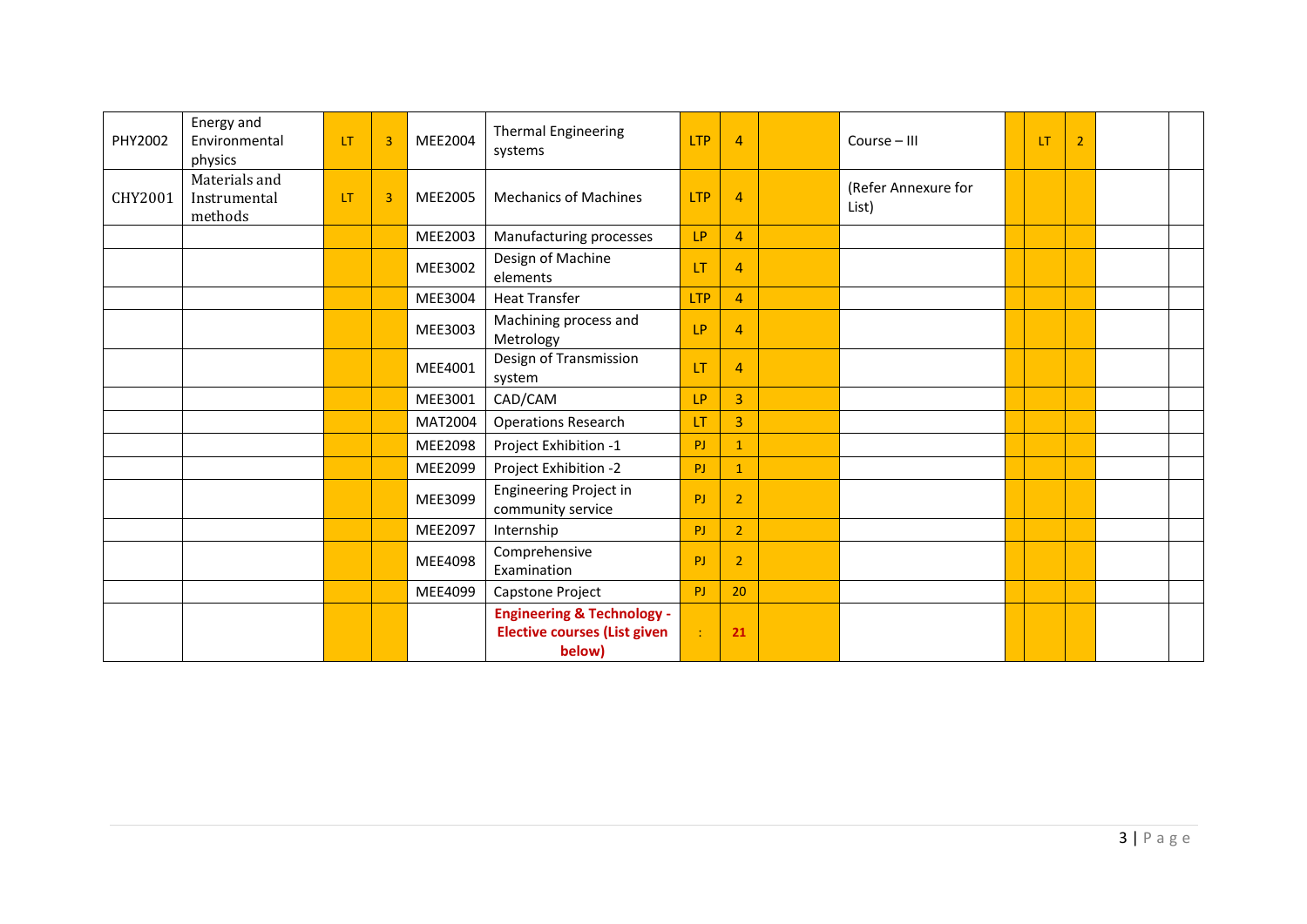| PHY2002 | Energy and<br>Environmental<br>physics   | <b>LT</b> | $\overline{3}$ | MEE2004        | <b>Thermal Engineering</b><br><b>LTP</b><br>systems                                    |            | $\overline{4}$ | Course - III                 | <b>LT</b> | $\overline{2}$ |  |
|---------|------------------------------------------|-----------|----------------|----------------|----------------------------------------------------------------------------------------|------------|----------------|------------------------------|-----------|----------------|--|
| CHY2001 | Materials and<br>Instrumental<br>methods | <b>LT</b> | $\overline{3}$ | MEE2005        | <b>Mechanics of Machines</b><br><b>LTP</b>                                             |            | $\overline{4}$ | (Refer Annexure for<br>List) |           |                |  |
|         |                                          |           |                | MEE2003        | Manufacturing processes                                                                | LP         | $\overline{4}$ |                              |           |                |  |
|         |                                          |           |                | MEE3002        | Design of Machine<br>elements                                                          | LT         | $\overline{4}$ |                              |           |                |  |
|         |                                          |           |                | MEE3004        | <b>Heat Transfer</b>                                                                   | <b>LTP</b> | $\overline{4}$ |                              |           |                |  |
|         |                                          |           |                | MEE3003        | Machining process and<br>Metrology                                                     | LP         | $\overline{4}$ |                              |           |                |  |
|         |                                          |           |                | MEE4001        | Design of Transmission<br>system                                                       | LT         | $\overline{4}$ |                              |           |                |  |
|         |                                          |           |                | MEE3001        | CAD/CAM                                                                                | LP         | $\overline{3}$ |                              |           |                |  |
|         |                                          |           |                | MAT2004        | <b>Operations Research</b>                                                             | LT         | $\overline{3}$ |                              |           |                |  |
|         |                                          |           |                | <b>MEE2098</b> | Project Exhibition -1                                                                  | PJ         | $\mathbf{1}$   |                              |           |                |  |
|         |                                          |           |                | MEE2099        | Project Exhibition -2                                                                  | PJ         | $\mathbf{1}$   |                              |           |                |  |
|         |                                          |           |                | MEE3099        | Engineering Project in<br>community service                                            | PJ         | $\overline{2}$ |                              |           |                |  |
|         |                                          |           |                | MEE2097        | Internship                                                                             | PJ         | $\overline{2}$ |                              |           |                |  |
|         |                                          |           |                | MEE4098        | Comprehensive<br>Examination                                                           | PJ         | $\overline{2}$ |                              |           |                |  |
|         |                                          |           |                | MEE4099        | Capstone Project                                                                       | PJ         | 20             |                              |           |                |  |
|         |                                          |           |                |                | <b>Engineering &amp; Technology -</b><br><b>Elective courses (List given</b><br>below) | ÷          | 21             |                              |           |                |  |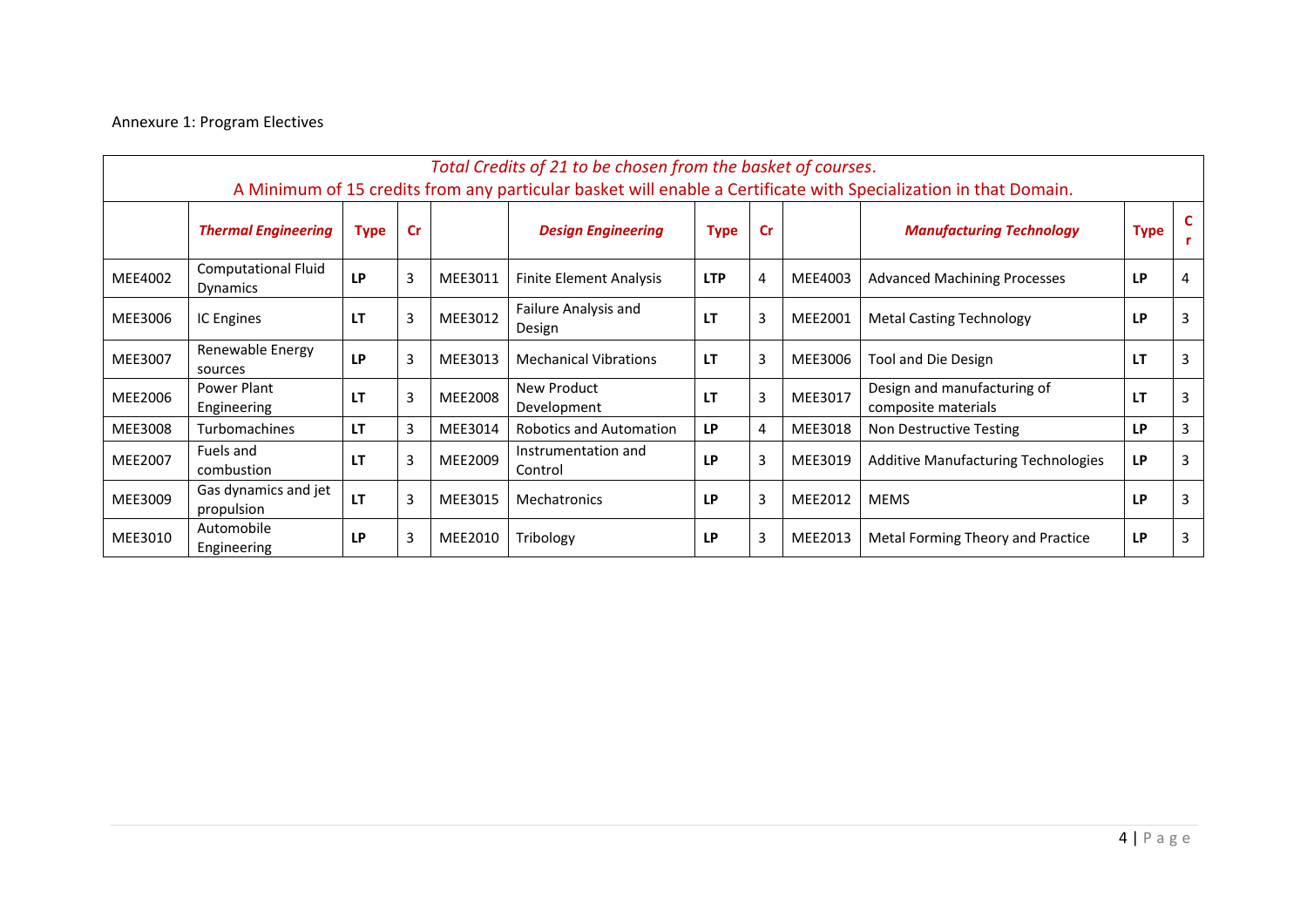## Annexure 1: Program Electives

|         | Total Credits of 21 to be chosen from the basket of courses.                                                     |             |                |         |                                |             |                             |         |                                                    |             |                |  |  |  |
|---------|------------------------------------------------------------------------------------------------------------------|-------------|----------------|---------|--------------------------------|-------------|-----------------------------|---------|----------------------------------------------------|-------------|----------------|--|--|--|
|         | A Minimum of 15 credits from any particular basket will enable a Certificate with Specialization in that Domain. |             |                |         |                                |             |                             |         |                                                    |             |                |  |  |  |
|         | <b>Thermal Engineering</b>                                                                                       | <b>Type</b> | <b>Cr</b>      |         | <b>Design Engineering</b>      | <b>Type</b> | cr                          |         | <b>Manufacturing Technology</b>                    | <b>Type</b> | <b>C</b><br>r. |  |  |  |
| MEE4002 | <b>Computational Fluid</b><br>Dynamics                                                                           | LP          | 3              | MEE3011 | <b>Finite Element Analysis</b> | <b>LTP</b>  | 4                           | MEE4003 | <b>Advanced Machining Processes</b>                | LP          | 4              |  |  |  |
| MEE3006 | IC Engines                                                                                                       | <b>LT</b>   | 3              | MEE3012 | Failure Analysis and<br>Design | LT          | 3                           | MEE2001 | <b>Metal Casting Technology</b>                    | LP          | 3              |  |  |  |
| MEE3007 | Renewable Energy<br>sources                                                                                      | <b>LP</b>   | 3              | MEE3013 | <b>Mechanical Vibrations</b>   | LT          | 3                           | MEE3006 | <b>Tool and Die Design</b>                         | LT          | 3              |  |  |  |
| MEE2006 | Power Plant<br>Engineering                                                                                       | <b>LT</b>   | 3<br>MEE2008   |         | New Product<br>Development     | LΤ          | 3<br>MEE3017                |         | Design and manufacturing of<br>composite materials | LT.         | 3              |  |  |  |
| MEE3008 | Turbomachines                                                                                                    | LT          | 3              | MEE3014 | <b>Robotics and Automation</b> | LP          | 4                           | MEE3018 | Non Destructive Testing                            | LP          | 3              |  |  |  |
| MEE2007 | Fuels and<br>combustion                                                                                          | LT          | 3              | MEE2009 | Instrumentation and<br>Control | LP          | 3                           | MEE3019 | <b>Additive Manufacturing Technologies</b>         | LP          | $\overline{3}$ |  |  |  |
| MEE3009 | Gas dynamics and jet<br>propulsion                                                                               | LT          | $\overline{3}$ | MEE3015 | Mechatronics                   | LP          | 3<br>MEE2012<br><b>MEMS</b> |         |                                                    | LP          | $\overline{3}$ |  |  |  |
| MEE3010 | Automobile<br>Engineering                                                                                        | <b>LP</b>   | 3              | MEE2010 | Tribology                      | LP          | 3                           | MEE2013 | Metal Forming Theory and Practice                  | LP          | 3              |  |  |  |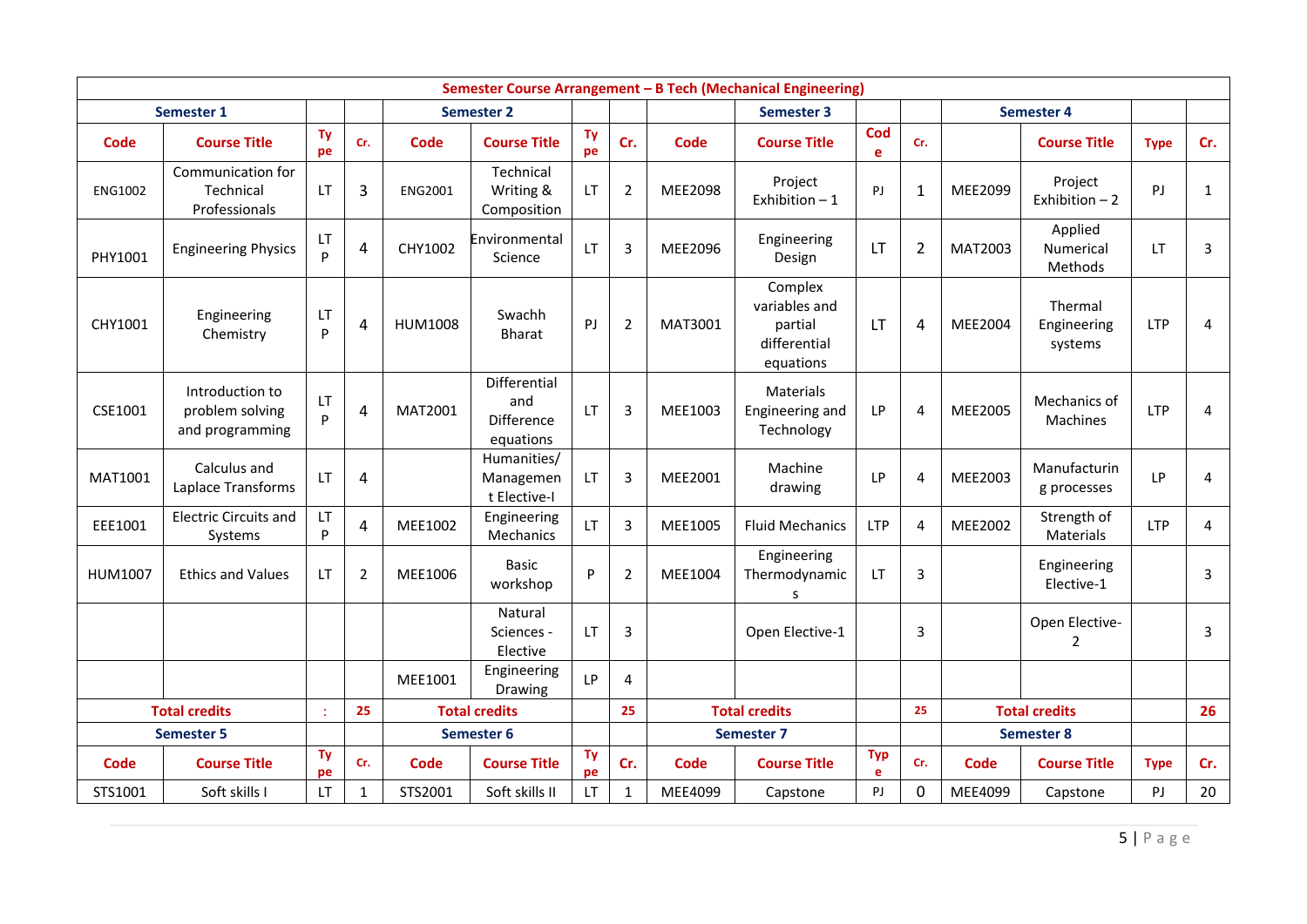|                | Semester Course Arrangement - B Tech (Mechanical Engineering) |                 |                |                |                                                |           |                |             |                                                                  |                 |                |             |                                   |                |              |
|----------------|---------------------------------------------------------------|-----------------|----------------|----------------|------------------------------------------------|-----------|----------------|-------------|------------------------------------------------------------------|-----------------|----------------|-------------|-----------------------------------|----------------|--------------|
|                | <b>Semester 1</b>                                             |                 |                |                | <b>Semester 2</b>                              |           |                |             | <b>Semester 3</b>                                                |                 |                | Semester 4  |                                   |                |              |
| Code           | <b>Course Title</b>                                           | <b>Ty</b><br>pe | Cr.            | Code           | <b>Course Title</b>                            | Ty<br>pe  | Cr.            | Code        | <b>Course Title</b>                                              | Cod<br>e        | Cr.            |             | <b>Course Title</b>               | <b>Type</b>    | Cr.          |
| <b>ENG1002</b> | Communication for<br>Technical<br>Professionals               | LT.             | 3              | <b>ENG2001</b> | Technical<br>Writing &<br>Composition          | <b>LT</b> | $\overline{2}$ | MEE2098     | Project<br>Exhibition $-1$                                       | PJ              | $\mathbf{1}$   | MEE2099     | Project<br>Exhibition $-2$        | P <sub>J</sub> | $\mathbf{1}$ |
| PHY1001        | <b>Engineering Physics</b>                                    | LT.<br>P        | 4              | CHY1002        | Environmental<br>Science                       | LT        | 3              | MEE2096     | Engineering<br>Design                                            | <b>LT</b>       | $\overline{2}$ | MAT2003     | Applied<br>Numerical<br>Methods   | LT             | 3            |
| CHY1001        | Engineering<br>Chemistry                                      | LT<br>P         | 4              | <b>HUM1008</b> | Swachh<br><b>Bharat</b>                        | PJ        | 2              | MAT3001     | Complex<br>variables and<br>partial<br>differential<br>equations | <b>LT</b>       | 4              | MEE2004     | Thermal<br>Engineering<br>systems | <b>LTP</b>     | 4            |
| CSE1001        | Introduction to<br>problem solving<br>and programming         | LT<br>P         | 4              | MAT2001        | Differential<br>and<br>Difference<br>equations | <b>LT</b> | 3              | MEE1003     | Materials<br>Engineering and<br>Technology                       | LP              | Δ              | MEE2005     | Mechanics of<br>Machines          | <b>LTP</b>     | 4            |
| MAT1001        | Calculus and<br>Laplace Transforms                            | LT              | 4              |                | Humanities/<br>Managemen<br>t Elective-I       | <b>LT</b> | 3              | MEE2001     | Machine<br>drawing                                               | LP              | 4              | MEE2003     | Manufacturin<br>g processes       | <b>LP</b>      | 4            |
| EEE1001        | <b>Electric Circuits and</b><br>Systems                       | LT<br>P         | 4              | MEE1002        | Engineering<br>Mechanics                       | LT        | 3              | MEE1005     | <b>Fluid Mechanics</b>                                           | <b>LTP</b>      | 4              | MEE2002     | Strength of<br>Materials          | <b>LTP</b>     | 4            |
| HUM1007        | <b>Ethics and Values</b>                                      | <b>LT</b>       | $\overline{2}$ | MEE1006        | <b>Basic</b><br>workshop                       | P         | 2              | MEE1004     | Engineering<br>Thermodynamic<br>s                                | LT.             | 3              |             | Engineering<br>Elective-1         |                | 3            |
|                |                                                               |                 |                |                | Natural<br>Sciences -<br>Elective              | <b>LT</b> | 3              |             | Open Elective-1                                                  |                 | 3              |             | Open Elective-<br>$\overline{2}$  |                | 3            |
|                |                                                               |                 |                | MEE1001        | Engineering<br>Drawing                         | <b>LP</b> | 4              |             |                                                                  |                 |                |             |                                   |                |              |
|                | <b>Total credits</b>                                          | ÷               | 25             |                | <b>Total credits</b>                           |           | 25             |             | <b>Total credits</b>                                             |                 | 25             |             | <b>Total credits</b>              |                | 26           |
|                | <b>Semester 5</b>                                             |                 |                |                | Semester 6                                     |           |                |             | <b>Semester 7</b>                                                |                 | Semester 8     |             |                                   |                |              |
| Code           | <b>Course Title</b>                                           | Ty<br>pe        | Cr.            | <b>Code</b>    | <b>Course Title</b>                            | Ty<br>pe  | Cr.            | <b>Code</b> | <b>Course Title</b>                                              | <b>Typ</b><br>e | Cr.            | <b>Code</b> | <b>Course Title</b>               | <b>Type</b>    | Cr.          |
| STS1001        | Soft skills I                                                 | LT              | $\mathbf{1}$   | STS2001        | Soft skills II                                 | LT        | $\mathbf{1}$   | MEE4099     | Capstone                                                         | PJ              | $\mathbf{0}$   | MEE4099     | Capstone                          | PJ             | 20           |